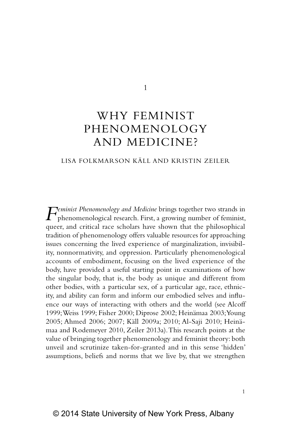1

# WHY FEMINIST PHENOMENOLOGY AND MEDICINE?

## LISA FOLKMARSON KÄLL AND KRISTIN ZEILER

*Feminist Phenomenology and Medicine* brings together two strands in phenomenological research. First, a growing number of feminist, queer, and critical race scholars have shown that the philosophical tradition of phenomenology offers valuable resources for approaching issues concerning the lived experience of marginalization, invisibility, nonnormativity, and oppression. Particularly phenomenological accounts of embodiment, focusing on the lived experience of the body, have provided a useful starting point in examinations of how the singular body, that is, the body as unique and different from other bodies, with a particular sex, of a particular age, race, ethnicity, and ability can form and inform our embodied selves and influence our ways of interacting with others and the world (see Alcoff 1999; Weiss 1999; Fisher 2000; Diprose 2002; Heinämaa 2003; Young 2005; Ahmed 2006; 2007; Käll 2009a; 2010; Al-Saji 2010; Heinämaa and Rodemeyer 2010, Zeiler 2013a). This research points at the value of bringing together phenomenology and feminist theory: both unveil and scrutinize taken-for-granted and in this sense 'hidden' assumptions, beliefs and norms that we live by, that we strengthen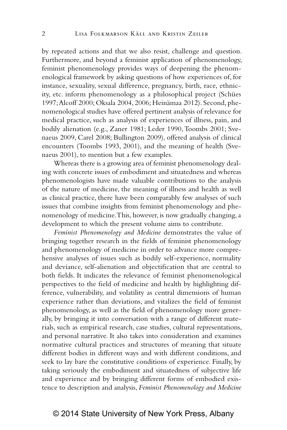by repeated actions and that we also resist, challenge and question. Furthermore, and beyond a feminist application of phenomenology, feminist phenomenology provides ways of deepening the phenomenological framework by asking questions of how experiences of, for instance, sexuality, sexual difference, pregnancy, birth, race, ethnicity, etc. inform phenomenology as a philosophical project (Schües 1997; Alcoff 2000; Oksala 2004, 2006; Heinämaa 2012). Second, phenomenological studies have offered pertinent analysis of relevance for medical practice, such as analysis of experiences of illness, pain, and bodily alienation (e.g., Zaner 1981; Leder 1990, Toombs 2001; Svenaeus 2009, Carel 2008; Bullington 2009), offered analysis of clinical encounters (Toombs 1993, 2001), and the meaning of health (Svenaeus 2001), to mention but a few examples.

Whereas there is a growing area of feminist phenomenology dealing with concrete issues of embodiment and situatedness and whereas phenomenologists have made valuable contributions to the analysis of the nature of medicine, the meaning of illness and health as well as clinical practice, there have been comparably few analyses of such issues that combine insights from feminist phenomenology and phenomenology of medicine. This, however, is now gradually changing, a development to which the present volume aims to contribute.

*Feminist Phenomenology and Medicine* demonstrates the value of bringing together research in the fields of feminist phenomenology and phenomenology of medicine in order to advance more comprehensive analyses of issues such as bodily self-experience, normality and deviance, self-alienation and objectification that are central to both fields. It indicates the relevance of feminist phenomenological perspectives to the field of medicine and health by highlighting difference, vulnerability, and volatility as central dimensions of human experience rather than deviations, and vitalizes the field of feminist phenomenology, as well as the field of phenomenology more generally, by bringing it into conversation with a range of different materials, such as empirical research, case studies, cultural representations, and personal narrative. It also takes into consideration and examines normative cultural practices and structures of meaning that situate different bodies in different ways and with different conditions, and seek to lay bare the constitutive conditions of experience. Finally, by taking seriously the embodiment and situatedness of subjective life and experience and by bringing different forms of embodied existence to description and analysis, *Feminist Phenomenology and Medicine*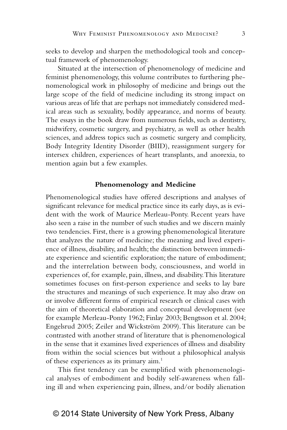seeks to develop and sharpen the methodological tools and conceptual framework of phenomenology.

Situated at the intersection of phenomenology of medicine and feminist phenomenology, this volume contributes to furthering phenomenological work in philosophy of medicine and brings out the large scope of the field of medicine including its strong impact on various areas of life that are perhaps not immediately considered medical areas such as sexuality, bodily appearance, and norms of beauty. The essays in the book draw from numerous fields, such as dentistry, midwifery, cosmetic surgery, and psychiatry, as well as other health sciences, and address topics such as cosmetic surgery and complicity, Body Integrity Identity Disorder (BIID), reassignment surgery for intersex children, experiences of heart transplants, and anorexia, to mention again but a few examples.

## **Phenomenology and Medicine**

Phenomenological studies have offered descriptions and analyses of significant relevance for medical practice since its early days, as is evident with the work of Maurice Merleau-Ponty. Recent years have also seen a raise in the number of such studies and we discern mainly two tendencies. First, there is a growing phenomenological literature that analyzes the nature of medicine; the meaning and lived experience of illness, disability, and health; the distinction between immediate experience and scientific exploration; the nature of embodiment; and the interrelation between body, consciousness, and world in experiences of, for example, pain, illness, and disability. This literature sometimes focuses on first-person experience and seeks to lay bare the structures and meanings of such experience. It may also draw on or involve different forms of empirical research or clinical cases with the aim of theoretical elaboration and conceptual development (see for example Merleau-Ponty 1962; Finlay 2003; Bengtsson et al. 2004; Engelsrud 2005; Zeiler and Wickström 2009). This literature can be contrasted with another strand of literature that is phenomenological in the sense that it examines lived experiences of illness and disability from within the social sciences but without a philosophical analysis of these experiences as its primary aim.1

This first tendency can be exemplified with phenomenological analyses of embodiment and bodily self-awareness when falling ill and when experiencing pain, illness, and/or bodily alienation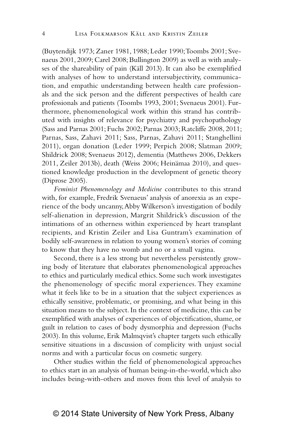(Buytendijk 1973; Zaner 1981, 1988; Leder 1990; Toombs 2001; Svenaeus 2001, 2009; Carel 2008; Bullington 2009) as well as with analyses of the shareability of pain (Käll 2013). It can also be exemplified with analyses of how to understand intersubjectivity, communication, and empathic understanding between health care professionals and the sick person and the different perspectives of health care professionals and patients (Toombs 1993, 2001; Svenaeus 2001). Furthermore, phenomenological work within this strand has contributed with insights of relevance for psychiatry and psychopathology (Sass and Parnas 2001; Fuchs 2002; Parnas 2003; Ratcliffe 2008, 2011; Parnas, Sass, Zahavi 2011; Sass, Parnas, Zahavi 2011; Stanghellini 2011), organ donation (Leder 1999; Perpich 2008; Slatman 2009; Shildrick 2008; Svenaeus 2012), dementia (Matthews 2006, Dekkers 2011, Zeiler 2013b), death (Weiss 2006; Heinämaa 2010), and questioned knowledge production in the development of genetic theory (Diprose 2005).

*Feminist Phenomenology and Medicine* contributes to this strand with, for example, Fredrik Svenaeus' analysis of anorexia as an experience of the body uncanny, Abby Wilkerson's investigation of bodily self-alienation in depression, Margrit Shildrick's discussion of the intimations of an otherness within experienced by heart transplant recipients, and Kristin Zeiler and Lisa Guntram's examination of bodily self-awareness in relation to young women's stories of coming to know that they have no womb and no or a small vagina.

Second, there is a less strong but nevertheless persistently growing body of literature that elaborates phenomenological approaches to ethics and particularly medical ethics. Some such work investigates the phenomenology of specific moral experiences. They examine what it feels like to be in a situation that the subject experiences as ethically sensitive, problematic, or promising, and what being in this situation means to the subject. In the context of medicine, this can be exemplified with analyses of experiences of objectification, shame, or guilt in relation to cases of body dysmorphia and depression (Fuchs 2003). In this volume, Erik Malmqvist's chapter targets such ethically sensitive situations in a discussion of complicity with unjust social norms and with a particular focus on cosmetic surgery.

Other studies within the field of phenomenological approaches to ethics start in an analysis of human being-in-the-world, which also includes being-with-others and moves from this level of analysis to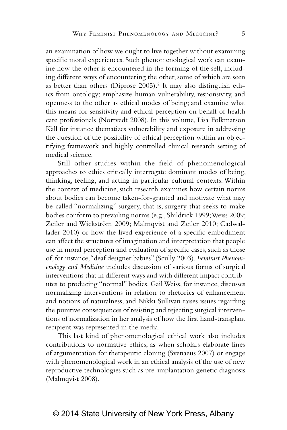an examination of how we ought to live together without examining specific moral experiences. Such phenomenological work can examine how the other is encountered in the forming of the self, including different ways of encountering the other, some of which are seen as better than others (Diprose 2005).<sup>2</sup> It may also distinguish ethics from ontology; emphasize human vulnerability, responsivity, and openness to the other as ethical modes of being; and examine what this means for sensitivity and ethical perception on behalf of health care professionals (Nortvedt 2008). In this volume, Lisa Folkmarson Käll for instance thematizes vulnerability and exposure in addressing the question of the possibility of ethical perception within an objectifying framework and highly controlled clinical research setting of medical science.

Still other studies within the field of phenomenological approaches to ethics critically interrogate dominant modes of being, thinking, feeling, and acting in particular cultural contexts. Within the context of medicine, such research examines how certain norms about bodies can become taken-for-granted and motivate what may be called "normalizing" surgery, that is, surgery that seeks to make bodies conform to prevailing norms (e.g., Shildrick 1999; Weiss 2009; Zeiler and Wickström 2009; Malmqvist and Zeiler 2010; Cadwallader 2010) or how the lived experience of a specific embodiment can affect the structures of imagination and interpretation that people use in moral perception and evaluation of specific cases, such as those of, for instance, "deaf designer babies" (Scully 2003). *Feminist Phenomenology and Medicine* includes discussion of various forms of surgical interventions that in different ways and with different impact contributes to producing "normal" bodies. Gail Weiss, for instance, discusses normalizing interventions in relation to rhetorics of enhancement and notions of naturalness, and Nikki Sullivan raises issues regarding the punitive consequences of resisting and rejecting surgical interventions of normalization in her analysis of how the first hand-transplant recipient was represented in the media.

This last kind of phenomenological ethical work also includes contributions to normative ethics, as when scholars elaborate lines of argumentation for therapeutic cloning (Svenaeus 2007) or engage with phenomenological work in an ethical analysis of the use of new reproductive technologies such as pre-implantation genetic diagnosis (Malmqvist 2008).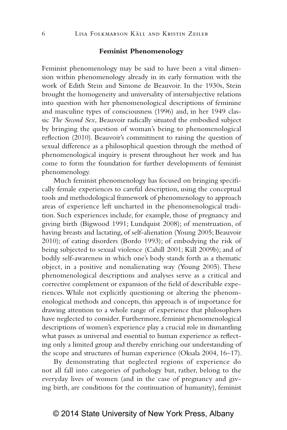## **Feminist Phenomenology**

Feminist phenomenology may be said to have been a vital dimension within phenomenology already in its early formation with the work of Edith Stein and Simone de Beauvoir. In the 1930s, Stein brought the homogeneity and universality of intersubjective relations into question with her phenomenological descriptions of feminine and masculine types of consciousness (1996) and, in her 1949 classic *The Second Sex*, Beauvoir radically situated the embodied subject by bringing the question of woman's being to phenomenological reflection (2010). Beauvoir's commitment to raising the question of sexual difference as a philosophical question through the method of phenomenological inquiry is present throughout her work and has come to form the foundation for further developments of feminist phenomenology.

Much feminist phenomenology has focused on bringing specifically female experiences to careful description, using the conceptual tools and methodological framework of phenomenology to approach areas of experience left uncharted in the phenomenological tradition. Such experiences include, for example, those of pregnancy and giving birth (Bigwood 1991; Lundquist 2008); of menstruation, of having breasts and lactating, of self-alienation (Young 2005; Beauvoir 2010); of eating disorders (Bordo 1993); of embodying the risk of being subjected to sexual violence (Cahill 2001; Käll 2009b); and of bodily self-awareness in which one's body stands forth as a thematic object, in a positive and nonalienating way (Young 2005). These phenomenological descriptions and analyses serve as a critical and corrective complement or expansion of the field of describable experiences. While not explicitly questioning or altering the phenomenological methods and concepts, this approach is of importance for drawing attention to a whole range of experience that philosophers have neglected to consider. Furthermore, feminist phenomenological descriptions of women's experience play a crucial role in dismantling what passes as universal and essential to human experience as reflecting only a limited group and thereby enriching our understanding of the scope and structures of human experience (Oksala 2004, 16–17).

By demonstrating that neglected regions of experience do not all fall into categories of pathology but, rather, belong to the everyday lives of women (and in the case of pregnancy and giving birth, are conditions for the continuation of humanity), feminist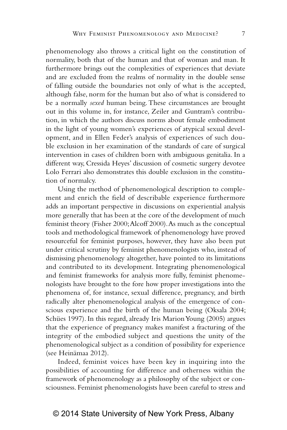phenomenology also throws a critical light on the constitution of normality, both that of the human and that of woman and man. It furthermore brings out the complexities of experiences that deviate and are excluded from the realms of normality in the double sense of falling outside the boundaries not only of what is the accepted, although false, norm for the human but also of what is considered to be a normally *sexed* human being. These circumstances are brought out in this volume in, for instance, Zeiler and Guntram's contribution, in which the authors discuss norms about female embodiment in the light of young women's experiences of atypical sexual development, and in Ellen Feder's analysis of experiences of such double exclusion in her examination of the standards of care of surgical intervention in cases of children born with ambiguous genitalia. In a different way, Cressida Heyes' discussion of cosmetic surgery devotee Lolo Ferrari also demonstrates this double exclusion in the constitution of normalcy.

Using the method of phenomenological description to complement and enrich the field of describable experience furthermore adds an important perspective in discussions on experiential analysis more generally that has been at the core of the development of much feminist theory (Fisher 2000; Alcoff 2000). As much as the conceptual tools and methodological framework of phenomenology have proved resourceful for feminist purposes, however, they have also been put under critical scrutiny by feminist phenomenologists who, instead of dismissing phenomenology altogether, have pointed to its limitations and contributed to its development. Integrating phenomenological and feminist frameworks for analysis more fully, feminist phenomenologists have brought to the fore how proper investigations into the phenomena of, for instance, sexual difference, pregnancy, and birth radically alter phenomenological analysis of the emergence of conscious experience and the birth of the human being (Oksala 2004; Schües 1997). In this regard, already Iris Marion Young (2005) argues that the experience of pregnancy makes manifest a fracturing of the integrity of the embodied subject and questions the unity of the phenomenological subject as a condition of possibility for experience (see Heinämaa 2012).

Indeed, feminist voices have been key in inquiring into the possibilities of accounting for difference and otherness within the framework of phenomenology as a philosophy of the subject or consciousness. Feminist phenomenologists have been careful to stress and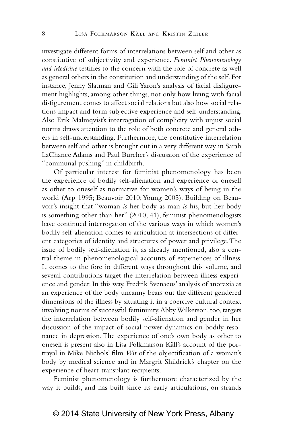investigate different forms of interrelations between self and other as constitutive of subjectivity and experience. *Feminist Phenomenology and Medicine* testifies to the concern with the role of concrete as well as general others in the constitution and understanding of the self. For instance, Jenny Slatman and Gili Yaron's analysis of facial disfigurement highlights, among other things, not only how living with facial disfigurement comes to affect social relations but also how social relations impact and form subjective experience and self-understanding. Also Erik Malmqvist's interrogation of complicity with unjust social norms draws attention to the role of both concrete and general others in self-understanding. Furthermore, the constitutive interrelation between self and other is brought out in a very different way in Sarah LaChance Adams and Paul Burcher's discussion of the experience of "communal pushing" in childbirth.

Of particular interest for feminist phenomenology has been the experience of bodily self-alienation and experience of oneself as other to oneself as normative for women's ways of being in the world (Arp 1995; Beauvoir 2010; Young 2005). Building on Beauvoir's insight that "woman *is* her body as man *is* his, but her body is something other than her" (2010, 41), feminist phenomenologists have continued interrogation of the various ways in which women's bodily self-alienation comes to articulation at intersections of different categories of identity and structures of power and privilege. The issue of bodily self-alienation is, as already mentioned, also a central theme in phenomenological accounts of experiences of illness. It comes to the fore in different ways throughout this volume, and several contributions target the interrelation between illness experience and gender. In this way, Fredrik Svenaeus' analysis of anorexia as an experience of the body uncanny bears out the different gendered dimensions of the illness by situating it in a coercive cultural context involving norms of successful femininity. Abby Wilkerson, too, targets the interrelation between bodily self-alienation and gender in her discussion of the impact of social power dynamics on bodily resonance in depression. The experience of one's own body as other to oneself is present also in Lisa Folkmarson Käll's account of the portrayal in Mike Nichols' film *Wit* of the objectification of a woman's body by medical science and in Margrit Shildrick's chapter on the experience of heart-transplant recipients.

Feminist phenomenology is furthermore characterized by the way it builds, and has built since its early articulations, on strands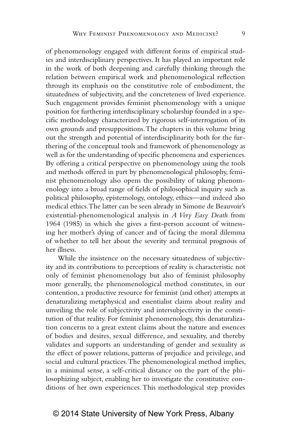of phenomenology engaged with different forms of empirical studies and interdisciplinary perspectives. It has played an important role in the work of both deepening and carefully thinking through the relation between empirical work and phenomenological reflection through its emphasis on the constitutive role of embodiment, the situatedness of subjectivity, and the concreteness of lived experience. Such engagement provides feminist phenomenology with a unique position for furthering interdisciplinary scholarship founded in a specific methodology characterized by rigorous self-interrogation of its own grounds and presuppositions. The chapters in this volume bring out the strength and potential of interdisciplinarity both for the furthering of the conceptual tools and framework of phenomenology as well as for the understanding of specific phenomena and experiences. By offering a critical perspective on phenomenology using the tools and methods offered in part by phenomenological philosophy, feminist phenomenology also opens the possibility of taking phenomenology into a broad range of fields of philosophical inquiry such as political philosophy, epistemology, ontology, ethics—and indeed also medical ethics. The latter can be seen already in Simone de Beauvoir's existential-phenomenological analysis in *A Very Easy Death* from 1964 (1985) in which she gives a first-person account of witnessing her mother's dying of cancer and of facing the moral dilemma of whether to tell her about the severity and terminal prognosis of her illness.

While the insistence on the necessary situatedness of subjectivity and its contributions to perceptions of reality is characteristic not only of feminist phenomenology but also of feminist philosophy more generally, the phenomenological method constitutes, in our contention, a productive resource for feminist (and other) attempts at denaturalizing metaphysical and essentialist claims about reality and unveiling the role of subjectivity and intersubjectivity in the constitution of that reality. For feminist phenomenology, this denaturalization concerns to a great extent claims about the nature and essences of bodies and desires, sexual difference, and sexuality, and thereby validates and supports an understanding of gender and sexuality as the effect of power relations, patterns of prejudice and privilege, and social and cultural practices. The phenomenological method implies, in a minimal sense, a self-critical distance on the part of the philosophizing subject, enabling her to investigate the constitutive conditions of her own experiences. This methodological step provides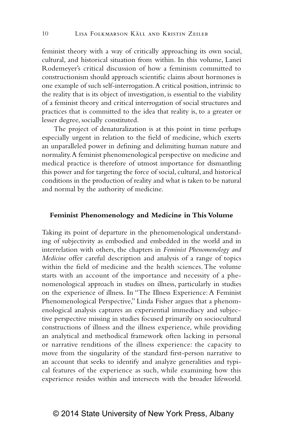feminist theory with a way of critically approaching its own social, cultural, and historical situation from within. In this volume, Lanei Rodemeyer's critical discussion of how a feminism committed to constructionism should approach scientific claims about hormones is one example of such self-interrogation. A critical position, intrinsic to the reality that is its object of investigation, is essential to the viability of a feminist theory and critical interrogation of social structures and practices that is committed to the idea that reality is, to a greater or lesser degree, socially constituted.

The project of denaturalization is at this point in time perhaps especially urgent in relation to the field of medicine, which exerts an unparalleled power in defining and delimiting human nature and normality. A feminist phenomenological perspective on medicine and medical practice is therefore of utmost importance for dismantling this power and for targeting the force of social, cultural, and historical conditions in the production of reality and what is taken to be natural and normal by the authority of medicine.

## **Feminist Phenomenology and Medicine in This Volume**

Taking its point of departure in the phenomenological understanding of subjectivity as embodied and embedded in the world and in interrelation with others, the chapters in *Feminist Phenomenology and Medicine* offer careful description and analysis of a range of topics within the field of medicine and the health sciences. The volume starts with an account of the importance and necessity of a phenomenological approach in studies on illness, particularly in studies on the experience of illness. In "The Illness Experience: A Feminist Phenomenological Perspective," Linda Fisher argues that a phenomenological analysis captures an experiential immediacy and subjective perspective missing in studies focused primarily on sociocultural constructions of illness and the illness experience, while providing an analytical and methodical framework often lacking in personal or narrative renditions of the illness experience: the capacity to move from the singularity of the standard first-person narrative to an account that seeks to identify and analyze generalities and typical features of the experience as such, while examining how this experience resides within and intersects with the broader lifeworld.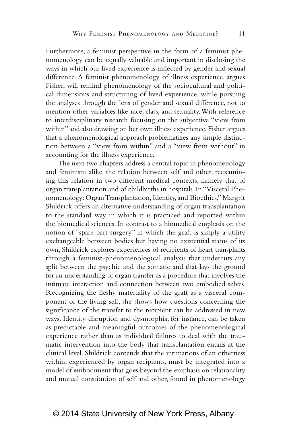Furthermore, a feminist perspective in the form of a feminist phenomenology can be equally valuable and important in disclosing the ways in which our lived experience is inflected by gender and sexual difference. A feminist phenomenology of illness experience, argues Fisher, will remind phenomenology of the sociocultural and political dimensions and structuring of lived experience, while pursuing the analyses through the lens of gender and sexual difference, not to mention other variables like race, class, and sexuality. With reference to interdisciplinary research focusing on the subjective "view from within" and also drawing on her own illness experience, Fisher argues that a phenomenological approach problematizes any simple distinction between a "view from within" and a "view from without" in accounting for the illness experience.

The next two chapters address a central topic in phenomenology and feminism alike, the relation between self and other, reexamining this relation in two different medical contexts, namely that of organ transplantation and of childbirths in hospitals. In "Visceral Phenomenology: Organ Transplantation, Identity, and Bioethics," Margrit Shildrick offers an alternative understanding of organ transplantation to the standard way in which it is practiced and reported within the biomedical sciences. In contrast to a biomedical emphasis on the notion of "spare part surgery" in which the graft is simply a utility exchangeable between bodies but having no existential status of its own, Shildrick explores experiences of recipients of heart transplants through a feminist-phenomenological analysis that undercuts any split between the psychic and the somatic and that lays the ground for an understanding of organ transfer as a procedure that involves the intimate interaction and connection between two embodied selves. Recognizing the fleshy materiality of the graft as a visceral component of the living self, she shows how questions concerning the significance of the transfer to the recipient can be addressed in new ways. Identity disruption and dysmorphia, for instance, can be taken as predictable and meaningful outcomes of the phenomenological experience rather than as individual failures to deal with the traumatic intervention into the body that transplantation entails at the clinical level. Shildrick contends that the intimations of an otherness within, experienced by organ recipients, must be integrated into a model of embodiment that goes beyond the emphasis on relationality and mutual constitution of self and other, found in phenomenology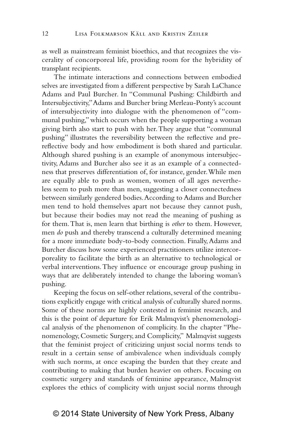as well as mainstream feminist bioethics, and that recognizes the viscerality of concorporeal life, providing room for the hybridity of transplant recipients.

The intimate interactions and connections between embodied selves are investigated from a different perspective by Sarah LaChance Adams and Paul Burcher. In "Communal Pushing: Childbirth and Intersubjectivity," Adams and Burcher bring Merleau-Ponty's account of intersubjectivity into dialogue with the phenomenon of "communal pushing," which occurs when the people supporting a woman giving birth also start to push with her. They argue that "communal pushing" illustrates the reversibility between the reflective and prereflective body and how embodiment is both shared and particular. Although shared pushing is an example of anonymous intersubjectivity, Adams and Burcher also see it as an example of a connectedness that preserves differentiation of, for instance, gender. While men are equally able to push as women, women of all ages nevertheless seem to push more than men, suggesting a closer connectedness between similarly gendered bodies. According to Adams and Burcher men tend to hold themselves apart not because they cannot push, but because their bodies may not read the meaning of pushing as for them. That is, men learn that birthing is *other* to them. However, men *do* push and thereby transcend a culturally determined meaning for a more immediate body-to-body connection. Finally, Adams and Burcher discuss how some experienced practitioners utilize intercorporeality to facilitate the birth as an alternative to technological or verbal interventions. They influence or encourage group pushing in ways that are deliberately intended to change the laboring woman's pushing.

Keeping the focus on self-other relations, several of the contributions explicitly engage with critical analysis of culturally shared norms. Some of these norms are highly contested in feminist research, and this is the point of departure for Erik Malmqvist's phenomenological analysis of the phenomenon of complicity. In the chapter "Phenomenology, Cosmetic Surgery, and Complicity," Malmqvist suggests that the feminist project of criticizing unjust social norms tends to result in a certain sense of ambivalence when individuals comply with such norms, at once escaping the burden that they create and contributing to making that burden heavier on others. Focusing on cosmetic surgery and standards of feminine appearance, Malmqvist explores the ethics of complicity with unjust social norms through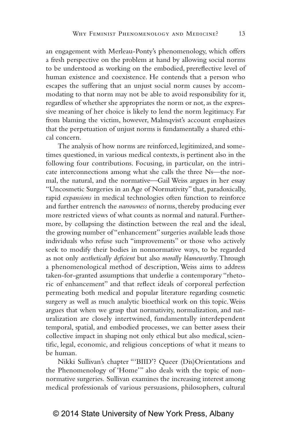an engagement with Merleau-Ponty's phenomenology, which offers a fresh perspective on the problem at hand by allowing social norms to be understood as working on the embodied, prereflective level of human existence and coexistence. He contends that a person who escapes the suffering that an unjust social norm causes by accommodating to that norm may not be able to avoid responsibility for it, regardless of whether she appropriates the norm or not, as the expressive meaning of her choice is likely to lend the norm legitimacy. Far from blaming the victim, however, Malmqvist's account emphasizes that the perpetuation of unjust norms is fundamentally a shared ethical concern.

The analysis of how norms are reinforced, legitimized, and sometimes questioned, in various medical contexts, is pertinent also in the following four contributions. Focusing, in particular, on the intricate interconnections among what she calls the three Ns—the normal, the natural, and the normative—Gail Weiss argues in her essay "Uncosmetic Surgeries in an Age of Normativity" that, paradoxically, rapid *expansions* in medical technologies often function to reinforce and further entrench the *narrowness* of norms, thereby producing ever more restricted views of what counts as normal and natural. Furthermore, by collapsing the distinction between the real and the ideal, the growing number of "enhancement" surgeries available leads those individuals who refuse such "improvements" or those who actively seek to modify their bodies in nonnormative ways, to be regarded as not only *aesthetically deficient* but also *morally blameworthy*. Through a phenomenological method of description, Weiss aims to address taken-for-granted assumptions that underlie a contemporary "rhetoric of enhancement" and that reflect ideals of corporeal perfection permeating both medical and popular literature regarding cosmetic surgery as well as much analytic bioethical work on this topic. Weiss argues that when we grasp that normativity, normalization, and naturalization are closely intertwined, fundamentally interdependent temporal, spatial, and embodied processes, we can better assess their collective impact in shaping not only ethical but also medical, scientific, legal, economic, and religious conceptions of what it means to be human.

Nikki Sullivan's chapter "'BIID'? Queer (Dis)Orientations and the Phenomenology of 'Home'" also deals with the topic of nonnormative surgeries. Sullivan examines the increasing interest among medical professionals of various persuasions, philosophers, cultural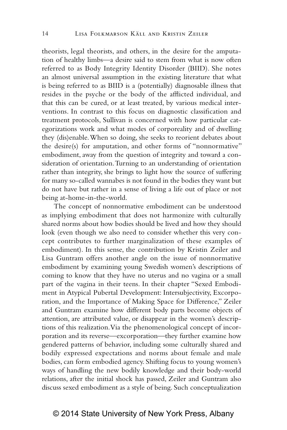theorists, legal theorists, and others, in the desire for the amputation of healthy limbs—a desire said to stem from what is now often referred to as Body Integrity Identity Disorder (BIID). She notes an almost universal assumption in the existing literature that what is being referred to as BIID is a (potentially) diagnosable illness that resides in the psyche or the body of the afflicted individual, and that this can be cured, or at least treated, by various medical interventions. In contrast to this focus on diagnostic classification and treatment protocols, Sullivan is concerned with how particular categorizations work and what modes of corporeality and of dwelling they (dis)enable. When so doing, she seeks to reorient debates about the desire(s) for amputation, and other forms of "nonnormative" embodiment, away from the question of integrity and toward a consideration of orientation. Turning to an understanding of orientation rather than integrity, she brings to light how the source of suffering for many so-called wannabes is not found in the bodies they want but do not have but rather in a sense of living a life out of place or not being at-home-in-the-world.

The concept of nonnormative embodiment can be understood as implying embodiment that does not harmonize with culturally shared norms about how bodies should be lived and how they should look (even though we also need to consider whether this very concept contributes to further marginalization of these examples of embodiment). In this sense, the contribution by Kristin Zeiler and Lisa Guntram offers another angle on the issue of nonnormative embodiment by examining young Swedish women's descriptions of coming to know that they have no uterus and no vagina or a small part of the vagina in their teens. In their chapter "Sexed Embodiment in Atypical Pubertal Development: Intersubjectivity, Excorporation, and the Importance of Making Space for Difference," Zeiler and Guntram examine how different body parts become objects of attention, are attributed value, or disappear in the women's descriptions of this realization. Via the phenomenological concept of incorporation and its reverse—excorporation—they further examine how gendered patterns of behavior, including some culturally shared and bodily expressed expectations and norms about female and male bodies, can form embodied agency. Shifting focus to young women's ways of handling the new bodily knowledge and their body-world relations, after the initial shock has passed, Zeiler and Guntram also discuss sexed embodiment as a style of being. Such conceptualization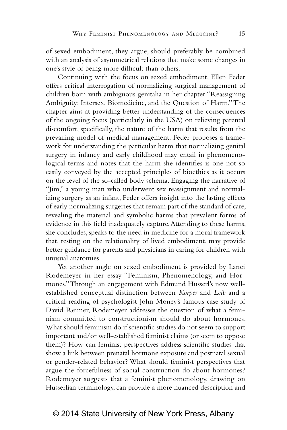of sexed embodiment, they argue, should preferably be combined with an analysis of asymmetrical relations that make some changes in one's style of being more difficult than others.

Continuing with the focus on sexed embodiment, Ellen Feder offers critical interrogation of normalizing surgical management of children born with ambiguous genitalia in her chapter "Reassigning Ambiguity: Intersex, Biomedicine, and the Question of Harm." The chapter aims at providing better understanding of the consequences of the ongoing focus (particularly in the USA) on relieving parental discomfort, specifically, the nature of the harm that results from the prevailing model of medical management. Feder proposes a framework for understanding the particular harm that normalizing genital surgery in infancy and early childhood may entail in phenomenological terms and notes that the harm she identifies is one not so easily conveyed by the accepted principles of bioethics as it occurs on the level of the so-called body schema. Engaging the narrative of "Jim," a young man who underwent sex reassignment and normalizing surgery as an infant, Feder offers insight into the lasting effects of early normalizing surgeries that remain part of the standard of care, revealing the material and symbolic harms that prevalent forms of evidence in this field inadequately capture. Attending to these harms, she concludes, speaks to the need in medicine for a moral framework that, resting on the relationality of lived embodiment, may provide better guidance for parents and physicians in caring for children with unusual anatomies.

Yet another angle on sexed embodiment is provided by Lanei Rodemeyer in her essay "Feminism, Phenomenology, and Hormones." Through an engagement with Edmund Husserl's now wellestablished conceptual distinction between *Körper* and *Leib* and a critical reading of psychologist John Money's famous case study of David Reimer, Rodemeyer addresses the question of what a feminism committed to constructionism should do about hormones. What should feminism do if scientific studies do not seem to support important and/or well-established feminist claims (or seem to oppose them)? How can feminist perspectives address scientific studies that show a link between prenatal hormone exposure and postnatal sexual or gender-related behavior? What should feminist perspectives that argue the forcefulness of social construction do about hormones? Rodemeyer suggests that a feminist phenomenology, drawing on Husserlian terminology, can provide a more nuanced description and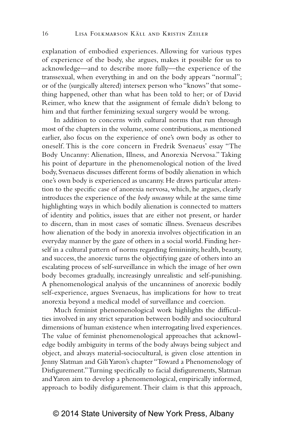explanation of embodied experiences. Allowing for various types of experience of the body, she argues, makes it possible for us to acknowledge—and to describe more fully—the experience of the transsexual, when everything in and on the body appears "normal"; or of the (surgically altered) intersex person who "knows" that something happened, other than what has been told to her; or of David Reimer, who knew that the assignment of female didn't belong to him and that further feminizing sexual surgery would be wrong.

In addition to concerns with cultural norms that run through most of the chapters in the volume, some contributions, as mentioned earlier, also focus on the experience of one's own body as other to oneself. This is the core concern in Fredrik Svenaeus' essay "The Body Uncanny: Alienation, Illness, and Anorexia Nervosa." Taking his point of departure in the phenomenological notion of the lived body, Svenaeus discusses different forms of bodily alienation in which one's own body is experienced as uncanny. He draws particular attention to the specific case of anorexia nervosa, which, he argues, clearly introduces the experience of the *body uncanny* while at the same time highlighting ways in which bodily alienation is connected to matters of identity and politics, issues that are either not present, or harder to discern, than in most cases of somatic illness. Svenaeus describes how alienation of the body in anorexia involves objectification in an everyday manner by the gaze of others in a social world. Finding herself in a cultural pattern of norms regarding femininity, health, beauty, and success, the anorexic turns the objectifying gaze of others into an escalating process of self-surveillance in which the image of her own body becomes gradually, increasingly unrealistic and self-punishing. A phenomenological analysis of the uncanniness of anorexic bodily self-experience, argues Svenaeus, has implications for how to treat anorexia beyond a medical model of surveillance and coercion.

Much feminist phenomenological work highlights the difficulties involved in any strict separation between bodily and sociocultural dimensions of human existence when interrogating lived experiences. The value of feminist phenomenological approaches that acknowledge bodily ambiguity in terms of the body always being subject and object, and always material-sociocultural, is given close attention in Jenny Slatman and Gili Yaron's chapter "Toward a Phenomenology of Disfigurement." Turning specifically to facial disfigurements, Slatman and Yaron aim to develop a phenomenological, empirically informed, approach to bodily disfigurement. Their claim is that this approach,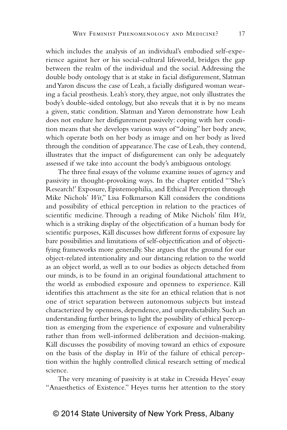which includes the analysis of an individual's embodied self-experience against her or his social-cultural lifeworld, bridges the gap between the realm of the individual and the social. Addressing the double body ontology that is at stake in facial disfigurement, Slatman and Yaron discuss the case of Leah, a facially disfigured woman wearing a facial prosthesis. Leah's story, they argue, not only illustrates the body's double-sided ontology, but also reveals that it is by no means a given, static condition. Slatman and Yaron demonstrate how Leah does not endure her disfigurement passively: coping with her condition means that she develops various ways of "doing" her body anew, which operate both on her body as image and on her body as lived through the condition of appearance. The case of Leah, they contend, illustrates that the impact of disfigurement can only be adequately assessed if we take into account the body's ambiguous ontology.

The three final essays of the volume examine issues of agency and passivity in thought-provoking ways. In the chapter entitled "'She's Research!' Exposure, Epistemophilia, and Ethical Perception through Mike Nichols' *Wit*," Lisa Folkmarson Käll considers the conditions and possibility of ethical perception in relation to the practices of scientific medicine. Through a reading of Mike Nichols' film *Wit*, which is a striking display of the objectification of a human body for scientific purposes, Käll discusses how different forms of exposure lay bare possibilities and limitations of self-objectification and of objectifying frameworks more generally. She argues that the ground for our object-related intentionality and our distancing relation to the world as an object world, as well as to our bodies as objects detached from our minds, is to be found in an original foundational attachment to the world as embodied exposure and openness to experience. Käll identifies this attachment as the site for an ethical relation that is not one of strict separation between autonomous subjects but instead characterized by openness, dependence, and unpredictability. Such an understanding further brings to light the possibility of ethical perception as emerging from the experience of exposure and vulnerability rather than from well-informed deliberation and decision-making. Käll discusses the possibility of moving toward an ethics of exposure on the basis of the display in *Wit* of the failure of ethical perception within the highly controlled clinical research setting of medical science.

The very meaning of passivity is at stake in Cressida Heyes' essay "Anaesthetics of Existence." Heyes turns her attention to the story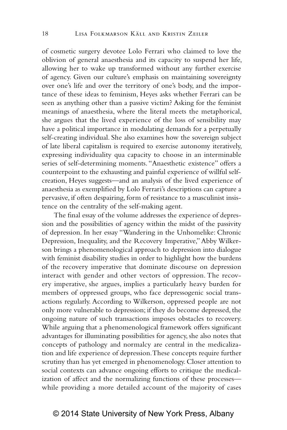of cosmetic surgery devotee Lolo Ferrari who claimed to love the oblivion of general anaesthesia and its capacity to suspend her life, allowing her to wake up transformed without any further exercise of agency. Given our culture's emphasis on maintaining sovereignty over one's life and over the territory of one's body, and the importance of these ideas to feminism, Heyes asks whether Ferrari can be seen as anything other than a passive victim? Asking for the feminist meanings of anaesthesia, where the literal meets the metaphorical, she argues that the lived experience of the loss of sensibility may have a political importance in modulating demands for a perpetually self-creating individual. She also examines how the sovereign subject of late liberal capitalism is required to exercise autonomy iteratively, expressing individuality qua capacity to choose in an interminable series of self-determining moments. "Anaesthetic existence" offers a counterpoint to the exhausting and painful experience of willful selfcreation, Heyes suggests—and an analysis of the lived experience of anaesthesia as exemplified by Lolo Ferrari's descriptions can capture a pervasive, if often despairing, form of resistance to a masculinist insistence on the centrality of the self-making agent.

The final essay of the volume addresses the experience of depression and the possibilities of agency within the midst of the passivity of depression. In her essay "Wandering in the Unhomelike: Chronic Depression, Inequality, and the Recovery Imperative," Abby Wilkerson brings a phenomenological approach to depression into dialogue with feminist disability studies in order to highlight how the burdens of the recovery imperative that dominate discourse on depression interact with gender and other vectors of oppression. The recovery imperative, she argues, implies a particularly heavy burden for members of oppressed groups, who face depressogenic social transactions regularly. According to Wilkerson, oppressed people are not only more vulnerable to depression; if they do become depressed, the ongoing nature of such transactions imposes obstacles to recovery. While arguing that a phenomenological framework offers significant advantages for illuminating possibilities for agency, she also notes that concepts of pathology and normalcy are central in the medicalization and life experience of depression. These concepts require further scrutiny than has yet emerged in phenomenology. Closer attention to social contexts can advance ongoing efforts to critique the medicalization of affect and the normalizing functions of these processes while providing a more detailed account of the majority of cases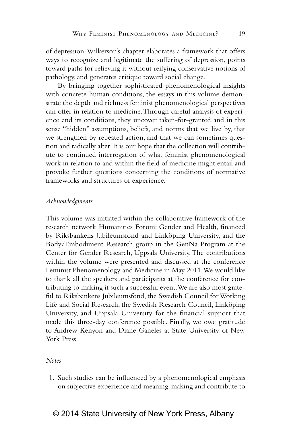of depression. Wilkerson's chapter elaborates a framework that offers ways to recognize and legitimate the suffering of depression, points toward paths for relieving it without reifying conservative notions of pathology, and generates critique toward social change.

By bringing together sophisticated phenomenological insights with concrete human conditions, the essays in this volume demonstrate the depth and richness feminist phenomenological perspectives can offer in relation to medicine. Through careful analysis of experience and its conditions, they uncover taken-for-granted and in this sense "hidden" assumptions, beliefs, and norms that we live by, that we strengthen by repeated action, and that we can sometimes question and radically alter. It is our hope that the collection will contribute to continued interrogation of what feminist phenomenological work in relation to and within the field of medicine might entail and provoke further questions concerning the conditions of normative frameworks and structures of experience.

### *Acknowledgments*

This volume was initiated within the collaborative framework of the research network Humanities Forum: Gender and Health, financed by Riksbankens Jubileumsfond and Linköping University, and the Body/Embodiment Research group in the GenNa Program at the Center for Gender Research, Uppsala University. The contributions within the volume were presented and discussed at the conference Feminist Phenomenology and Medicine in May 2011. We would like to thank all the speakers and participants at the conference for contributing to making it such a successful event. We are also most grateful to Riksbankens Jubileumsfond, the Swedish Council for Working Life and Social Research, the Swedish Research Council, Linköping University, and Uppsala University for the financial support that made this three-day conference possible. Finally, we owe gratitude to Andrew Kenyon and Diane Ganeles at State University of New York Press.

#### *Notes*

1. Such studies can be influenced by a phenomenological emphasis on subjective experience and meaning-making and contribute to